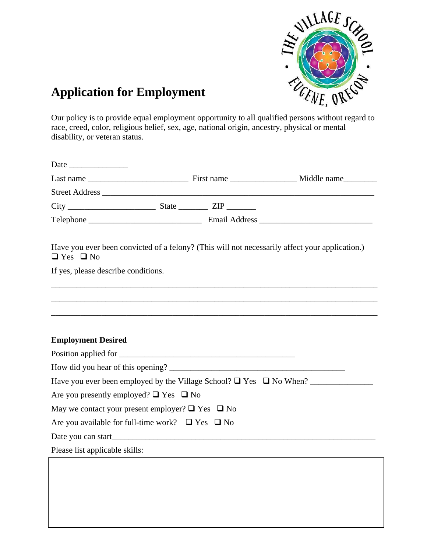

## **Application for Employment**

Our policy is to provide equal employment opportunity to all qualified persons without regard to race, creed, color, religious belief, sex, age, national origin, ancestry, physical or mental disability, or veteran status.

| $City$ $\times$ $ State \times ZIP \times$                                                                                                                                                                |  |                                                                                                |
|-----------------------------------------------------------------------------------------------------------------------------------------------------------------------------------------------------------|--|------------------------------------------------------------------------------------------------|
|                                                                                                                                                                                                           |  |                                                                                                |
| $\Box$ Yes $\Box$ No                                                                                                                                                                                      |  | Have you ever been convicted of a felony? (This will not necessarily affect your application.) |
| If yes, please describe conditions.                                                                                                                                                                       |  |                                                                                                |
|                                                                                                                                                                                                           |  |                                                                                                |
|                                                                                                                                                                                                           |  |                                                                                                |
|                                                                                                                                                                                                           |  |                                                                                                |
|                                                                                                                                                                                                           |  |                                                                                                |
|                                                                                                                                                                                                           |  |                                                                                                |
|                                                                                                                                                                                                           |  |                                                                                                |
|                                                                                                                                                                                                           |  |                                                                                                |
|                                                                                                                                                                                                           |  |                                                                                                |
|                                                                                                                                                                                                           |  |                                                                                                |
|                                                                                                                                                                                                           |  |                                                                                                |
| <b>Employment Desired</b><br>Are you presently employed? $\Box$ Yes $\Box$ No<br>May we contact your present employer? $\Box$ Yes $\Box$ No<br>Are you available for full-time work? $\Box$ Yes $\Box$ No |  |                                                                                                |
|                                                                                                                                                                                                           |  |                                                                                                |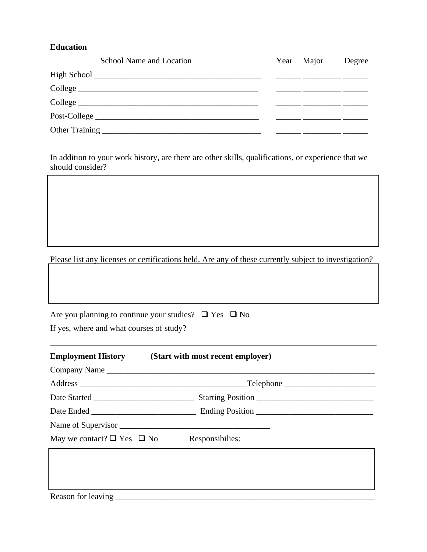## **Education**

| School Name and Location |  | Year Major | Degree |
|--------------------------|--|------------|--------|
|                          |  |            |        |
| College                  |  |            |        |
|                          |  |            |        |
|                          |  |            |        |
|                          |  |            |        |

In addition to your work history, are there are other skills, qualifications, or experience that we should consider?

Please list any licenses or certifications held. Are any of these currently subject to investigation?

| Are you planning to continue your studies? $\Box$ Yes $\Box$ No |  |
|-----------------------------------------------------------------|--|
| If yes, where and what courses of study?                        |  |

|                                                      | <b>Employment History</b> (Start with most recent employer) |  |
|------------------------------------------------------|-------------------------------------------------------------|--|
|                                                      | Company Name                                                |  |
|                                                      | $\Box$ Telephone $\Box$                                     |  |
|                                                      |                                                             |  |
|                                                      |                                                             |  |
|                                                      |                                                             |  |
| May we contact? $\Box$ Yes $\Box$ No Responsibilies: |                                                             |  |
|                                                      |                                                             |  |
|                                                      |                                                             |  |
|                                                      |                                                             |  |
|                                                      |                                                             |  |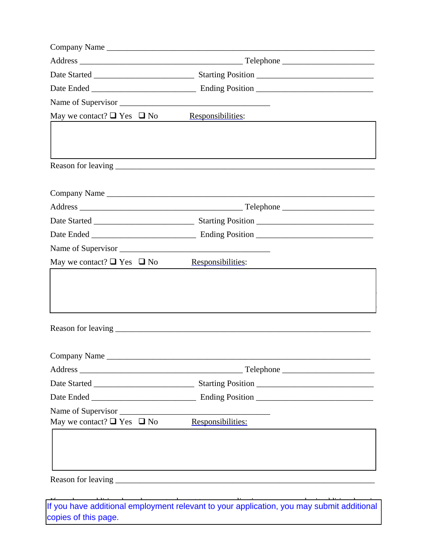| Company Name                         |                   |  |
|--------------------------------------|-------------------|--|
|                                      | Telephone         |  |
|                                      |                   |  |
|                                      |                   |  |
|                                      |                   |  |
| May we contact? $\Box$ Yes $\Box$ No | Responsibilities: |  |
|                                      |                   |  |
|                                      |                   |  |
|                                      |                   |  |
|                                      |                   |  |
|                                      |                   |  |
|                                      |                   |  |
|                                      |                   |  |
| Name of Supervisor                   |                   |  |
| May we contact? $\Box$ Yes $\Box$ No | Responsibilities: |  |
|                                      |                   |  |
|                                      |                   |  |
|                                      |                   |  |
| Company Name                         |                   |  |
|                                      |                   |  |
|                                      |                   |  |
|                                      |                   |  |
| Name of Supervisor                   |                   |  |
| May we contact? $\Box$ Yes $\Box$ No | Responsibilities: |  |
|                                      |                   |  |
|                                      |                   |  |
|                                      |                   |  |
|                                      |                   |  |

If you have additional employment relevant to your application, you may submit additional my cannot add the response to the page.